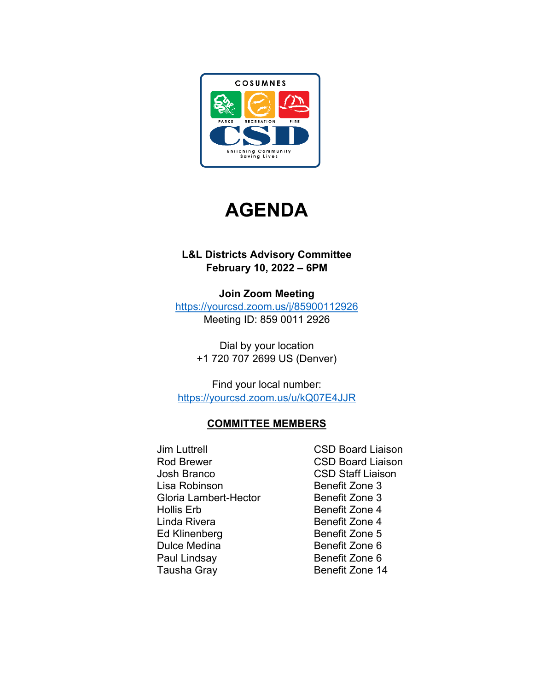



## **L&L Districts Advisory Committee February 10, 2022 – 6PM**

**Join Zoom Meeting** <https://yourcsd.zoom.us/j/85900112926>

Meeting ID: 859 0011 2926

Dial by your location +1 720 707 2699 US (Denver)

Find your local number: <https://yourcsd.zoom.us/u/kQ07E4JJR>

# **COMMITTEE MEMBERS**

- Jim Luttrell CSD Board Liaison Rod Brewer **CSD Board Liaison** Josh Branco CSD Staff Liaison Lisa Robinson **Benefit Zone 3** Gloria Lambert-Hector Benefit Zone 3 Hollis Erb Benefit Zone 4 Linda Rivera **Benefit Zone 4** Ed Klinenberg Benefit Zone 5 Dulce Medina Benefit Zone 6 Paul Lindsay Benefit Zone 6 Tausha Gray **Benefit Zone 14** 
	-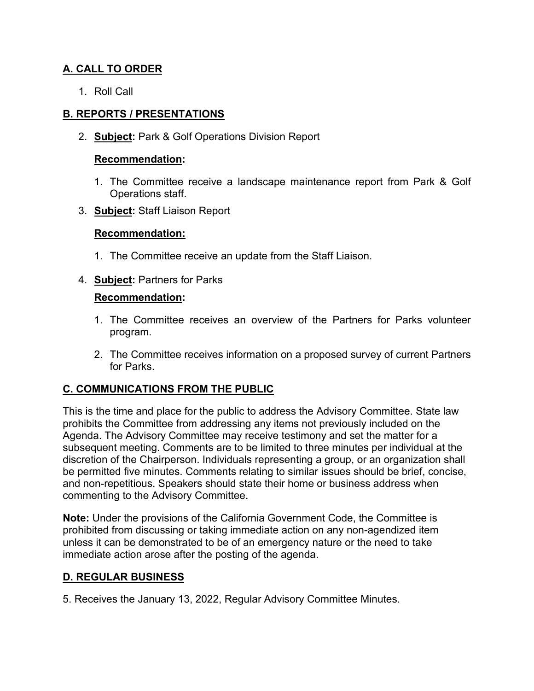## **A. CALL TO ORDER**

1. Roll Call

### **B. REPORTS / PRESENTATIONS**

2. **Subject:** Park & Golf Operations Division Report

#### **Recommendation:**

- 1. The Committee receive a landscape maintenance report from Park & Golf Operations staff.
- 3. **Subject:** Staff Liaison Report

### **Recommendation:**

- 1. The Committee receive an update from the Staff Liaison.
- 4. **Subject:** Partners for Parks

### **Recommendation:**

- 1. The Committee receives an overview of the Partners for Parks volunteer program.
- 2. The Committee receives information on a proposed survey of current Partners for Parks.

### **C. COMMUNICATIONS FROM THE PUBLIC**

This is the time and place for the public to address the Advisory Committee. State law prohibits the Committee from addressing any items not previously included on the Agenda. The Advisory Committee may receive testimony and set the matter for a subsequent meeting. Comments are to be limited to three minutes per individual at the discretion of the Chairperson. Individuals representing a group, or an organization shall be permitted five minutes. Comments relating to similar issues should be brief, concise, and non-repetitious. Speakers should state their home or business address when commenting to the Advisory Committee.

**Note:** Under the provisions of the California Government Code, the Committee is prohibited from discussing or taking immediate action on any non-agendized item unless it can be demonstrated to be of an emergency nature or the need to take immediate action arose after the posting of the agenda.

### **D. REGULAR BUSINESS**

5. Receives the January 13, 2022, Regular Advisory Committee Minutes.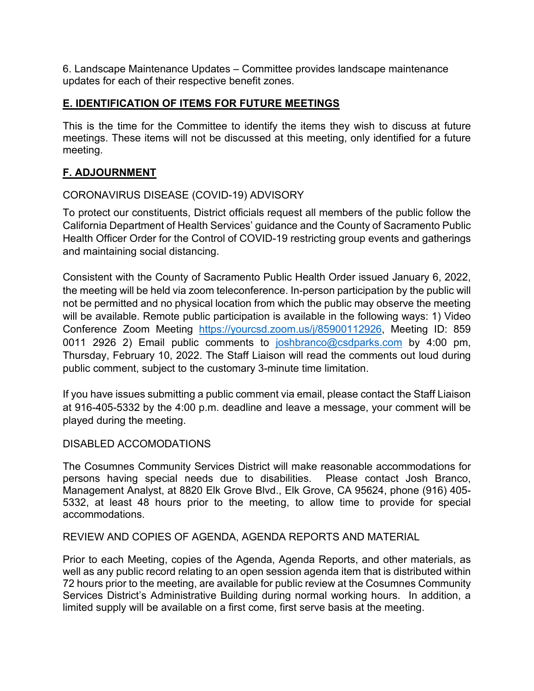6. Landscape Maintenance Updates – Committee provides landscape maintenance updates for each of their respective benefit zones.

### **E. IDENTIFICATION OF ITEMS FOR FUTURE MEETINGS**

This is the time for the Committee to identify the items they wish to discuss at future meetings. These items will not be discussed at this meeting, only identified for a future meeting.

### **F. ADJOURNMENT**

### CORONAVIRUS DISEASE (COVID-19) ADVISORY

To protect our constituents, District officials request all members of the public follow the California Department of Health Services' guidance and the County of Sacramento Public Health Officer Order for the Control of COVID-19 restricting group events and gatherings and maintaining social distancing.

Consistent with the County of Sacramento Public Health Order issued January 6, 2022, the meeting will be held via zoom teleconference. In-person participation by the public will not be permitted and no physical location from which the public may observe the meeting will be available. Remote public participation is available in the following ways: 1) Video Conference Zoom Meeting [https://yourcsd.zoom.us/j/85900112926,](https://yourcsd.zoom.us/j/85900112926) Meeting ID: 859 0011 2926 2) Email public comments to [joshbranco@csdparks.com](mailto:joshbranco@csdparks.com) by 4:00 pm, Thursday, February 10, 2022. The Staff Liaison will read the comments out loud during public comment, subject to the customary 3-minute time limitation.

If you have issues submitting a public comment via email, please contact the Staff Liaison at 916-405-5332 by the 4:00 p.m. deadline and leave a message, your comment will be played during the meeting.

### DISABLED ACCOMODATIONS

The Cosumnes Community Services District will make reasonable accommodations for persons having special needs due to disabilities. Please contact Josh Branco, Management Analyst, at 8820 Elk Grove Blvd., Elk Grove, CA 95624, phone (916) 405- 5332, at least 48 hours prior to the meeting, to allow time to provide for special accommodations.

REVIEW AND COPIES OF AGENDA, AGENDA REPORTS AND MATERIAL

Prior to each Meeting, copies of the Agenda, Agenda Reports, and other materials, as well as any public record relating to an open session agenda item that is distributed within 72 hours prior to the meeting, are available for public review at the Cosumnes Community Services District's Administrative Building during normal working hours. In addition, a limited supply will be available on a first come, first serve basis at the meeting.